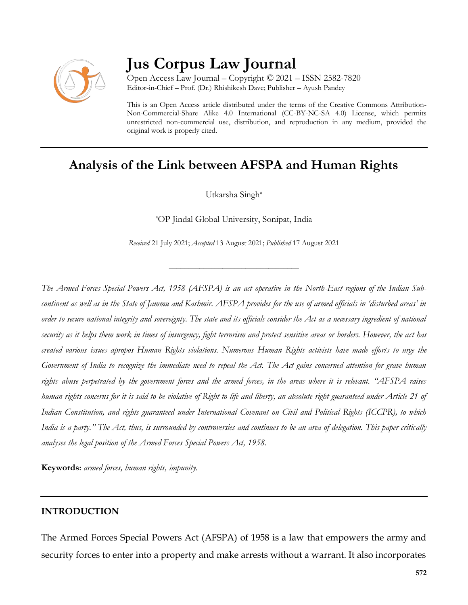

# **Jus Corpus Law Journal**

Open Access Law Journal – Copyright © 2021 – ISSN 2582-7820 Editor-in-Chief – Prof. (Dr.) Rhishikesh Dave; Publisher – Ayush Pandey

This is an Open Access article distributed under the terms of the Creative Commons Attribution-Non-Commercial-Share Alike 4.0 International (CC-BY-NC-SA 4.0) License, which permits unrestricted non-commercial use, distribution, and reproduction in any medium, provided the original work is properly cited.

## **Analysis of the Link between AFSPA and Human Rights**

Utkarsha Singh<sup>a</sup>

<sup>a</sup>OP Jindal Global University, Sonipat, India

*Received* 21 July 2021; *Accepted* 13 August 2021; *Published* 17 August 2021

\_\_\_\_\_\_\_\_\_\_\_\_\_\_\_\_\_\_\_\_\_\_\_\_\_\_\_\_\_\_\_\_\_\_

*The Armed Forces Special Powers Act, 1958 (AFSPA) is an act operative in the North-East regions of the Indian Subcontinent as well as in the State of Jammu and Kashmir. AFSPA provides for the use of armed officials in 'disturbed areas' in order to secure national integrity and sovereignty. The state and its officials consider the Act as a necessary ingredient of national security as it helps them work in times of insurgency, fight terrorism and protect sensitive areas or borders. However, the act has created various issues apropos Human Rights violations. Numerous Human Rights activists have made efforts to urge the Government of India to recognize the immediate need to repeal the Act. The Act gains concerned attention for grave human rights abuse perpetrated by the government forces and the armed forces, in the areas where it is relevant. "AFSPA raises human rights concerns for it is said to be violative of Right to life and liberty, an absolute right guaranteed under Article 21 of Indian Constitution, and rights guaranteed under International Covenant on Civil and Political Rights (ICCPR), to which India is a party." The Act, thus, is surrounded by controversies and continues to be an area of delegation. This paper critically analyses the legal position of the Armed Forces Special Powers Act, 1958.*

**Keywords:** *armed forces, human rights, impunity.*

### **INTRODUCTION**

The Armed Forces Special Powers Act (AFSPA) of 1958 is a law that empowers the army and security forces to enter into a property and make arrests without a warrant. It also incorporates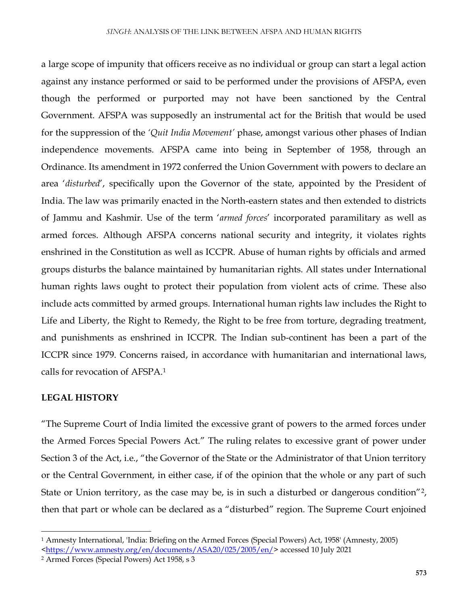a large scope of impunity that officers receive as no individual or group can start a legal action against any instance performed or said to be performed under the provisions of AFSPA, even though the performed or purported may not have been sanctioned by the Central Government. AFSPA was supposedly an instrumental act for the British that would be used for the suppression of the *'Quit India Movement'* phase, amongst various other phases of Indian independence movements. AFSPA came into being in September of 1958, through an Ordinance. Its amendment in 1972 conferred the Union Government with powers to declare an area '*disturbed*', specifically upon the Governor of the state, appointed by the President of India. The law was primarily enacted in the North-eastern states and then extended to districts of Jammu and Kashmir. Use of the term '*armed forces*' incorporated paramilitary as well as armed forces. Although AFSPA concerns national security and integrity, it violates rights enshrined in the Constitution as well as ICCPR. Abuse of human rights by officials and armed groups disturbs the balance maintained by humanitarian rights. All states under International human rights laws ought to protect their population from violent acts of crime. These also include acts committed by armed groups. International human rights law includes the Right to Life and Liberty, the Right to Remedy, the Right to be free from torture, degrading treatment, and punishments as enshrined in ICCPR. The Indian sub-continent has been a part of the ICCPR since 1979. Concerns raised, in accordance with humanitarian and international laws, calls for revocation of AFSPA.<sup>1</sup>

### **LEGAL HISTORY**

 $\overline{\phantom{a}}$ 

"The Supreme Court of India limited the excessive grant of powers to the armed forces under the Armed Forces Special Powers Act." The ruling relates to excessive grant of power under Section 3 of the Act, i.e., "the Governor of the State or the Administrator of that Union territory or the Central Government, in either case, if of the opinion that the whole or any part of such State or Union territory, as the case may be, is in such a disturbed or dangerous condition"<sup>2</sup>, then that part or whole can be declared as a "disturbed" region. The Supreme Court enjoined

<sup>1</sup> Amnesty International, 'India: Briefing on the Armed Forces (Special Powers) Act, 1958' (Amnesty, 2005) [<https://www.amnesty.org/en/documents/ASA20/025/2005/en/>](https://www.amnesty.org/en/documents/ASA20/025/2005/en/) accessed 10 July 2021

<sup>2</sup> Armed Forces (Special Powers) Act 1958, s 3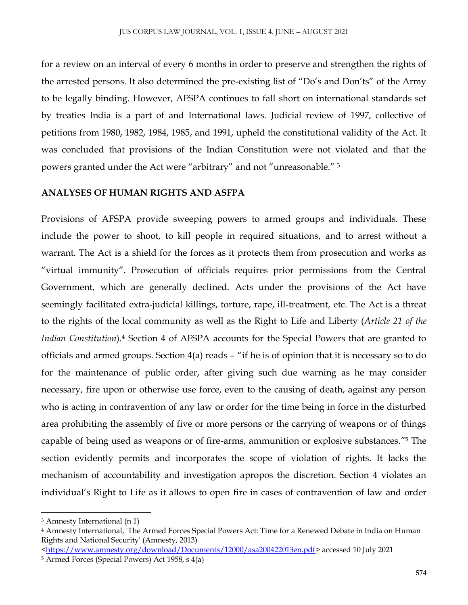for a review on an interval of every 6 months in order to preserve and strengthen the rights of the arrested persons. It also determined the pre-existing list of "Do's and Don'ts" of the Army to be legally binding. However, AFSPA continues to fall short on international standards set by treaties India is a part of and International laws. Judicial review of 1997, collective of petitions from 1980, 1982, 1984, 1985, and 1991, upheld the constitutional validity of the Act. It was concluded that provisions of the Indian Constitution were not violated and that the powers granted under the Act were "arbitrary" and not "unreasonable." <sup>3</sup>

#### **ANALYSES OF HUMAN RIGHTS AND ASFPA**

Provisions of AFSPA provide sweeping powers to armed groups and individuals. These include the power to shoot, to kill people in required situations, and to arrest without a warrant. The Act is a shield for the forces as it protects them from prosecution and works as "virtual immunity". Prosecution of officials requires prior permissions from the Central Government, which are generally declined. Acts under the provisions of the Act have seemingly facilitated extra-judicial killings, torture, rape, ill-treatment, etc. The Act is a threat to the rights of the local community as well as the Right to Life and Liberty (*Article 21 of the Indian Constitution*).<sup>4</sup> Section 4 of AFSPA accounts for the Special Powers that are granted to officials and armed groups. Section 4(a) reads – "if he is of opinion that it is necessary so to do for the maintenance of public order, after giving such due warning as he may consider necessary, fire upon or otherwise use force, even to the causing of death, against any person who is acting in contravention of any law or order for the time being in force in the disturbed area prohibiting the assembly of five or more persons or the carrying of weapons or of things capable of being used as weapons or of fire-arms, ammunition or explosive substances."<sup>5</sup> The section evidently permits and incorporates the scope of violation of rights. It lacks the mechanism of accountability and investigation apropos the discretion. Section 4 violates an individual's Right to Life as it allows to open fire in cases of contravention of law and order

 $\overline{a}$ 

<sup>3</sup> Amnesty International (n 1)

<sup>4</sup> Amnesty International, 'The Armed Forces Special Powers Act: Time for a Renewed Debate in India on Human Rights and National Security' (Amnesty, 2013)

[<sup>&</sup>lt;https://www.amnesty.org/download/Documents/12000/asa200422013en.pdf>](https://www.amnesty.org/download/Documents/12000/asa200422013en.pdf) accessed 10 July 2021

<sup>5</sup> Armed Forces (Special Powers) Act 1958, s 4(a)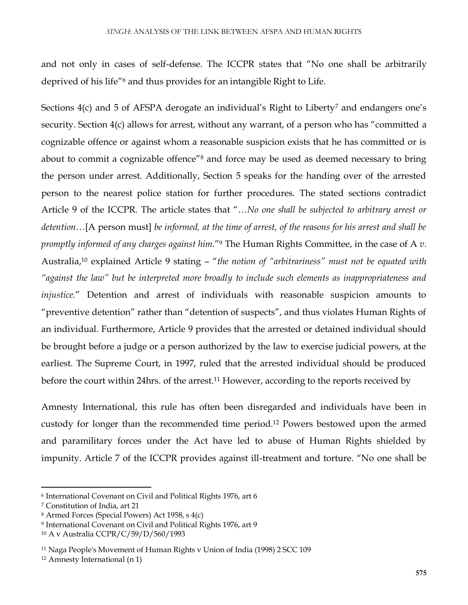and not only in cases of self-defense. The ICCPR states that "No one shall be arbitrarily deprived of his life"<sup>6</sup> and thus provides for an intangible Right to Life.

Sections 4(c) and 5 of AFSPA derogate an individual's Right to Liberty<sup>7</sup> and endangers one's security. Section 4(c) allows for arrest, without any warrant, of a person who has "committed a cognizable offence or against whom a reasonable suspicion exists that he has committed or is about to commit a cognizable offence"<sup>8</sup> and force may be used as deemed necessary to bring the person under arrest. Additionally, Section 5 speaks for the handing over of the arrested person to the nearest police station for further procedures. The stated sections contradict Article 9 of the ICCPR. The article states that "…*No one shall be subjected to arbitrary arrest or detention…*[A person must] *be informed, at the time of arrest, of the reasons for his arrest and shall be promptly informed of any charges against him.*" <sup>9</sup> The Human Rights Committee, in the case of A *v*. Australia, <sup>10</sup> explained Article 9 stating – "*the notion of "arbitrariness" must not be equated with "against the law" but be interpreted more broadly to include such elements as inappropriateness and injustice.*" Detention and arrest of individuals with reasonable suspicion amounts to "preventive detention" rather than "detention of suspects", and thus violates Human Rights of an individual. Furthermore, Article 9 provides that the arrested or detained individual should be brought before a judge or a person authorized by the law to exercise judicial powers, at the earliest. The Supreme Court, in 1997, ruled that the arrested individual should be produced before the court within 24hrs. of the arrest. <sup>11</sup> However, according to the reports received by

Amnesty International, this rule has often been disregarded and individuals have been in custody for longer than the recommended time period.<sup>12</sup> Powers bestowed upon the armed and paramilitary forces under the Act have led to abuse of Human Rights shielded by impunity. Article 7 of the ICCPR provides against ill-treatment and torture. "No one shall be

 $\overline{\phantom{a}}$ 

<sup>6</sup> International Covenant on Civil and Political Rights 1976, art 6

<sup>7</sup> Constitution of India, art 21

<sup>8</sup> Armed Forces (Special Powers) Act 1958, s 4(c)

<sup>9</sup> International Covenant on Civil and Political Rights 1976, art 9

<sup>10</sup> A v Australia CCPR/C/59/D/560/1993

<sup>11</sup> Naga People's Movement of Human Rights v Union of India (1998) 2 SCC 109

<sup>12</sup> Amnesty International (n 1)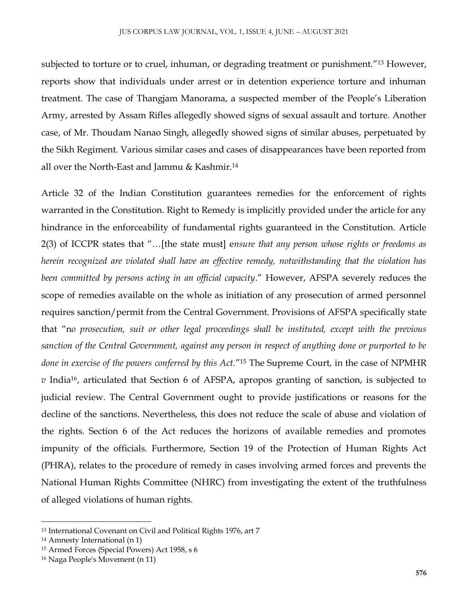subjected to torture or to cruel, inhuman, or degrading treatment or punishment.<sup>"13</sup> However, reports show that individuals under arrest or in detention experience torture and inhuman treatment. The case of Thangjam Manorama, a suspected member of the People's Liberation Army, arrested by Assam Rifles allegedly showed signs of sexual assault and torture. Another case, of Mr. Thoudam Nanao Singh, allegedly showed signs of similar abuses, perpetuated by the Sikh Regiment. Various similar cases and cases of disappearances have been reported from all over the North-East and Jammu & Kashmir.<sup>14</sup>

Article 32 of the Indian Constitution guarantees remedies for the enforcement of rights warranted in the Constitution. Right to Remedy is implicitly provided under the article for any hindrance in the enforceability of fundamental rights guaranteed in the Constitution. Article 2(3) of ICCPR states that "…[the state must] e*nsure that any person whose rights or freedoms as herein recognized are violated shall have an effective remedy, notwithstanding that the violation has been committed by persons acting in an official capacity*." However, AFSPA severely reduces the scope of remedies available on the whole as initiation of any prosecution of armed personnel requires sanction/permit from the Central Government. Provisions of AFSPA specifically state that "n*o prosecution, suit or other legal proceedings shall be instituted, except with the previous sanction of the Central Government, against any person in respect of anything done or purported to be done in exercise of the powers conferred by this Act.*" <sup>15</sup> The Supreme Court, in the case of NPMHR *v* India<sup>16</sup>, articulated that Section 6 of AFSPA, apropos granting of sanction, is subjected to judicial review. The Central Government ought to provide justifications or reasons for the decline of the sanctions. Nevertheless, this does not reduce the scale of abuse and violation of the rights. Section 6 of the Act reduces the horizons of available remedies and promotes impunity of the officials. Furthermore, Section 19 of the Protection of Human Rights Act (PHRA), relates to the procedure of remedy in cases involving armed forces and prevents the National Human Rights Committee (NHRC) from investigating the extent of the truthfulness of alleged violations of human rights.

 $\overline{\phantom{a}}$ 

<sup>13</sup> International Covenant on Civil and Political Rights 1976, art 7

<sup>14</sup> Amnesty International (n 1)

<sup>15</sup> Armed Forces (Special Powers) Act 1958, s 6

<sup>16</sup> Naga People's Movement (n 11)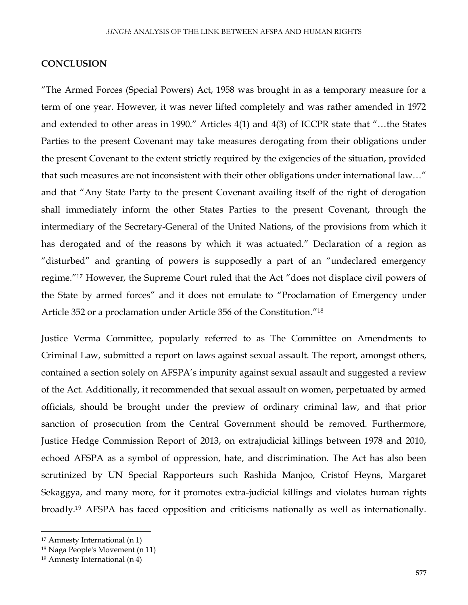#### **CONCLUSION**

"The Armed Forces (Special Powers) Act, 1958 was brought in as a temporary measure for a term of one year. However, it was never lifted completely and was rather amended in 1972 and extended to other areas in 1990." Articles 4(1) and 4(3) of ICCPR state that "…the States Parties to the present Covenant may take measures derogating from their obligations under the present Covenant to the extent strictly required by the exigencies of the situation, provided that such measures are not inconsistent with their other obligations under international law…" and that "Any State Party to the present Covenant availing itself of the right of derogation shall immediately inform the other States Parties to the present Covenant, through the intermediary of the Secretary-General of the United Nations, of the provisions from which it has derogated and of the reasons by which it was actuated." Declaration of a region as "disturbed" and granting of powers is supposedly a part of an "undeclared emergency regime." <sup>17</sup> However, the Supreme Court ruled that the Act "does not displace civil powers of the State by armed forces" and it does not emulate to "Proclamation of Emergency under Article 352 or a proclamation under Article 356 of the Constitution." 18

Justice Verma Committee, popularly referred to as The Committee on Amendments to Criminal Law, submitted a report on laws against sexual assault. The report, amongst others, contained a section solely on AFSPA's impunity against sexual assault and suggested a review of the Act. Additionally, it recommended that sexual assault on women, perpetuated by armed officials, should be brought under the preview of ordinary criminal law, and that prior sanction of prosecution from the Central Government should be removed. Furthermore, Justice Hedge Commission Report of 2013, on extrajudicial killings between 1978 and 2010, echoed AFSPA as a symbol of oppression, hate, and discrimination. The Act has also been scrutinized by UN Special Rapporteurs such Rashida Manjoo, Cristof Heyns, Margaret Sekaggya, and many more, for it promotes extra-judicial killings and violates human rights broadly.<sup>19</sup> AFSPA has faced opposition and criticisms nationally as well as internationally.

 $\overline{\phantom{a}}$ 

<sup>17</sup> Amnesty International (n 1)

<sup>18</sup> Naga People's Movement (n 11)

<sup>19</sup> Amnesty International (n 4)